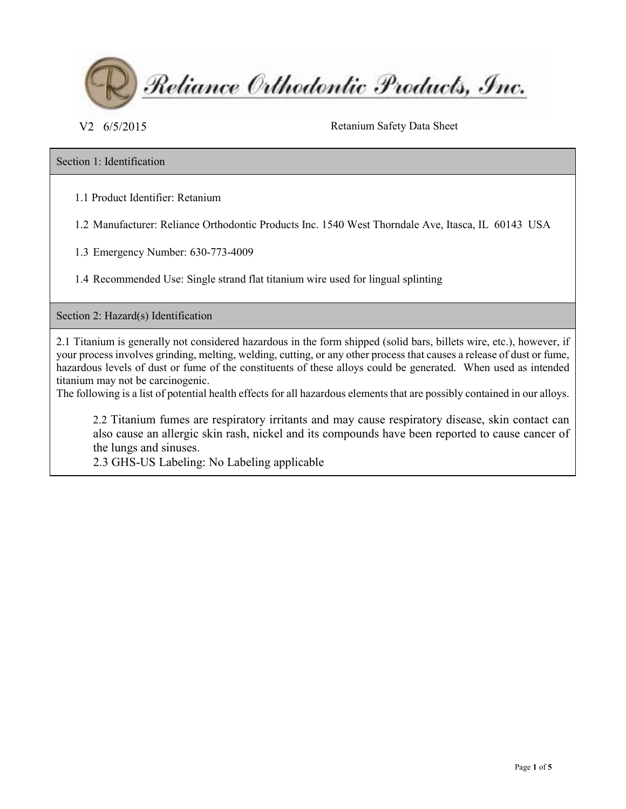

V2 6/5/2015 Retanium Safety Data Sheet

## Section 1: Identification

1.1 Product Identifier: Retanium

1.2 Manufacturer: Reliance Orthodontic Products Inc. 1540 West Thorndale Ave, Itasca, IL 60143 USA

1.3 Emergency Number: 630-773-4009

1.4 Recommended Use: Single strand flat titanium wire used for lingual splinting

Section 2: Hazard(s) Identification

2.1 Titanium is generally not considered hazardous in the form shipped (solid bars, billets wire, etc.), however, if your process involves grinding, melting, welding, cutting, or any other process that causes a release of dust or fume, hazardous levels of dust or fume of the constituents of these alloys could be generated. When used as intended titanium may not be carcinogenic.

The following is a list of potential health effects for all hazardous elements that are possibly contained in our alloys.

2.2 Titanium fumes are respiratory irritants and may cause respiratory disease, skin contact can also cause an allergic skin rash, nickel and its compounds have been reported to cause cancer of the lungs and sinuses.

2.3 GHS-US Labeling: No Labeling applicable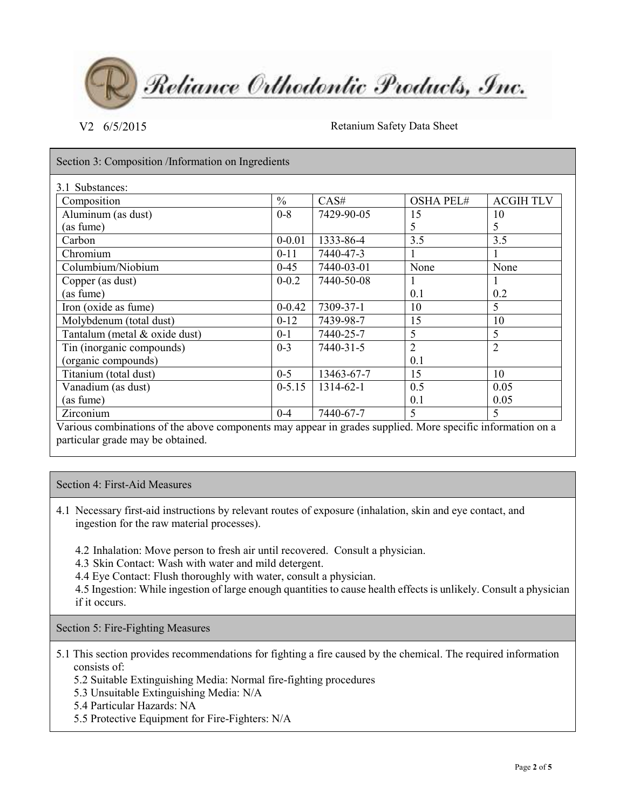Reliance Orthodontic Products, Inc.

V2 6/5/2015 Retanium Safety Data Sheet

Section 3: Composition /Information on Ingredients

| Composition                   | $\frac{0}{0}$ | CAS#       | <b>OSHA PEL#</b> | <b>ACGIHTLV</b> |
|-------------------------------|---------------|------------|------------------|-----------------|
| Aluminum (as dust)            | $0 - 8$       | 7429-90-05 | 15               | 10              |
| (as fume)                     |               |            | 5                | 5               |
| Carbon                        | $0 - 0.01$    | 1333-86-4  | 3.5              | 3.5             |
| Chromium                      | $0 - 11$      | 7440-47-3  |                  |                 |
| Columbium/Niobium             | $0 - 45$      | 7440-03-01 | None             | None            |
| Copper (as dust)              | $0 - 0.2$     | 7440-50-08 |                  |                 |
| (as fume)                     |               |            | 0.1              | 0.2             |
| Iron (oxide as fume)          | $0 - 0.42$    | 7309-37-1  | 10               | 5               |
| Molybdenum (total dust)       | $0 - 12$      | 7439-98-7  | 15               | 10              |
| Tantalum (metal & oxide dust) | $0 - 1$       | 7440-25-7  | 5                | 5               |
| Tin (inorganic compounds)     | $0 - 3$       | 7440-31-5  | $\overline{2}$   | 2               |
| (organic compounds)           |               |            | 0.1              |                 |
| Titanium (total dust)         | $0 - 5$       | 13463-67-7 | 15               | 10              |
| Vanadium (as dust)            | $0 - 5.15$    | 1314-62-1  | 0.5              | 0.05            |
| (as fume)                     |               |            | 0.1              | 0.05            |
| <b>Zirconium</b>              | $0 - 4$       | 7440-67-7  | 5                | 5               |

Various combinations of the above components may appear in grades supplied. More specific information on a particular grade may be obtained.

## Section 4: First-Aid Measures

4.1 Necessary first-aid instructions by relevant routes of exposure (inhalation, skin and eye contact, and ingestion for the raw material processes).

4.2 Inhalation: Move person to fresh air until recovered. Consult a physician.

4.3 Skin Contact: Wash with water and mild detergent.

4.4 Eye Contact: Flush thoroughly with water, consult a physician.

4.5 Ingestion: While ingestion of large enough quantities to cause health effects is unlikely. Consult a physician if it occurs.

Section 5: Fire-Fighting Measures

5.1 This section provides recommendations for fighting a fire caused by the chemical. The required information consists of:

5.2 Suitable Extinguishing Media: Normal fire-fighting procedures

- 5.3 Unsuitable Extinguishing Media: N/A
- 5.4 Particular Hazards: NA
- 5.5 Protective Equipment for Fire-Fighters: N/A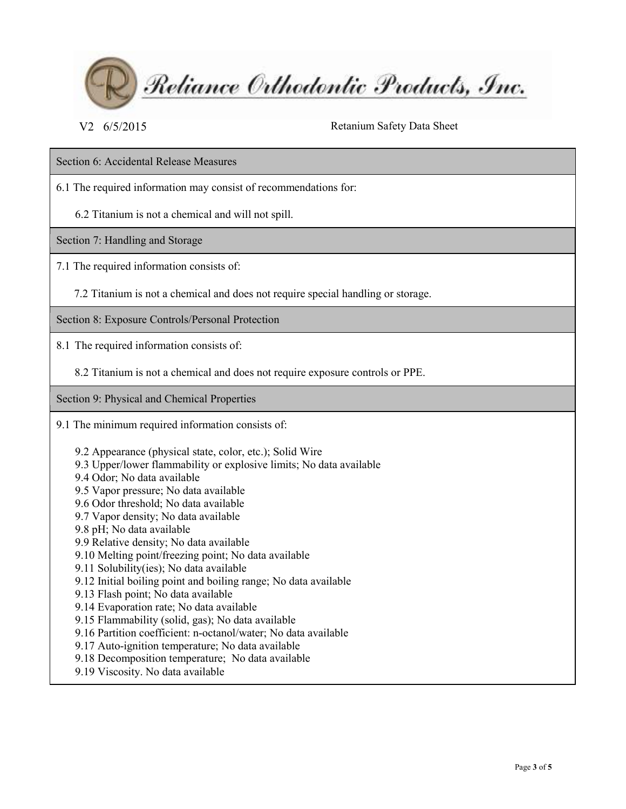

V<sub>2</sub> 6/5/2015 Retanium Safety Data Sheet

Section 6: Accidental Release Measures

6.1 The required information may consist of recommendations for:

6.2 Titanium is not a chemical and will not spill.

Section 7: Handling and Storage

7.1 The required information consists of:

7.2 Titanium is not a chemical and does not require special handling or storage.

Section 8: Exposure Controls/Personal Protection

8.1 The required information consists of:

8.2 Titanium is not a chemical and does not require exposure controls or PPE.

Section 9: Physical and Chemical Properties

9.1 The minimum required information consists of:

9.2 Appearance (physical state, color, etc.); Solid Wire

- 9.3 Upper/lower flammability or explosive limits; No data available
- 9.4 Odor; No data available
- 9.5 Vapor pressure; No data available
- 9.6 Odor threshold; No data available
- 9.7 Vapor density; No data available
- 9.8 pH; No data available
- 9.9 Relative density; No data available
- 9.10 Melting point/freezing point; No data available
- 9.11 Solubility(ies); No data available
- 9.12 Initial boiling point and boiling range; No data available
- 9.13 Flash point; No data available
- 9.14 Evaporation rate; No data available
- 9.15 Flammability (solid, gas); No data available
- 9.16 Partition coefficient: n-octanol/water; No data available
- 9.17 Auto-ignition temperature; No data available
- 9.18 Decomposition temperature; No data available
- 9.19 Viscosity. No data available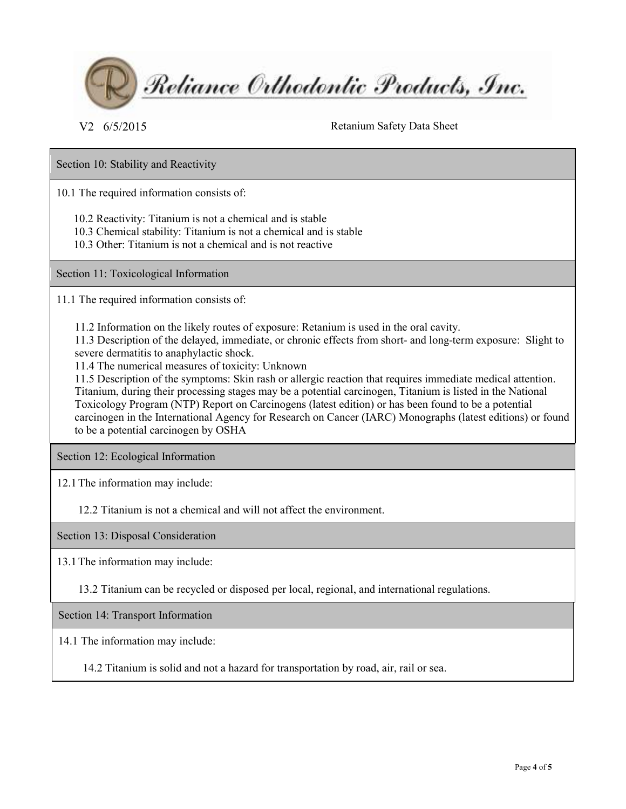

V<sub>2</sub> 6/5/2015 Retanium Safety Data Sheet

Section 10: Stability and Reactivity

10.1 The required information consists of:

10.2 Reactivity: Titanium is not a chemical and is stable

- 10.3 Chemical stability: Titanium is not a chemical and is stable
- 10.3 Other: Titanium is not a chemical and is not reactive

Section 11: Toxicological Information

11.1 The required information consists of:

11.2 Information on the likely routes of exposure: Retanium is used in the oral cavity.

11.3 Description of the delayed, immediate, or chronic effects from short- and long-term exposure: Slight to severe dermatitis to anaphylactic shock.

11.4 The numerical measures of toxicity: Unknown

11.5 Description of the symptoms: Skin rash or allergic reaction that requires immediate medical attention. Titanium, during their processing stages may be a potential carcinogen, Titanium is listed in the National Toxicology Program (NTP) Report on Carcinogens (latest edition) or has been found to be a potential carcinogen in the International Agency for Research on Cancer (IARC) Monographs (latest editions) or found to be a potential carcinogen by OSHA

Section 12: Ecological Information

12.1The information may include:

12.2 Titanium is not a chemical and will not affect the environment.

Section 13: Disposal Consideration

13.1The information may include:

13.2 Titanium can be recycled or disposed per local, regional, and international regulations.

Section 14: Transport Information

14.1 The information may include:

14.2 Titanium is solid and not a hazard for transportation by road, air, rail or sea.